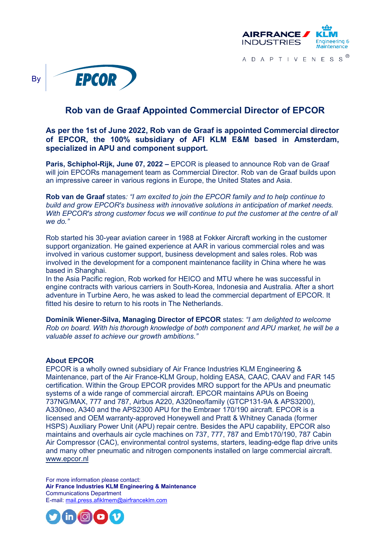

A D A P T I V E N E S S ®



## **Rob van de Graaf Appointed Commercial Director of EPCOR**

## **As per the 1st of June 2022, Rob van de Graaf is appointed Commercial director of EPCOR, the 100% subsidiary of AFI KLM E&M based in Amsterdam, specialized in APU and component support.**

**Paris, Schiphol-Rijk, June 07, 2022 –** EPCOR is pleased to announce Rob van de Graaf will join EPCORs management team as Commercial Director. Rob van de Graaf builds upon an impressive career in various regions in Europe, the United States and Asia.

**Rob van de Graaf** states*: "I am excited to join the EPCOR family and to help continue to build and grow EPCOR's business with innovative solutions in anticipation of market needs. With EPCOR's strong customer focus we will continue to put the customer at the centre of all we do."*

Rob started his 30-year aviation career in 1988 at Fokker Aircraft working in the customer support organization. He gained experience at AAR in various commercial roles and was involved in various customer support, business development and sales roles. Rob was involved in the development for a component maintenance facility in China where he was based in Shanghai.

In the Asia Pacific region, Rob worked for HEICO and MTU where he was successful in engine contracts with various carriers in South-Korea, Indonesia and Australia. After a short adventure in Turbine Aero, he was asked to lead the commercial department of EPCOR. It fitted his desire to return to his roots in The Netherlands.

**Dominik Wiener-Silva, Managing Director of EPCOR** states: *"I am delighted to welcome Rob on board. With his thorough knowledge of both component and APU market, he will be a valuable asset to achieve our growth ambitions."*

## **About EPCOR**

EPCOR is a wholly owned subsidiary of Air France Industries KLM Engineering & Maintenance, part of the Air France-KLM Group, holding EASA, CAAC, CAAV and FAR 145 certification. Within the Group EPCOR provides MRO support for the APUs and pneumatic systems of a wide range of commercial aircraft. EPCOR maintains APUs on Boeing 737NG/MAX, 777 and 787, Airbus A220, A320neo/family (GTCP131-9A & APS3200), A330neo, A340 and the APS2300 APU for the Embraer 170/190 aircraft. EPCOR is a licensed and OEM warranty-approved Honeywell and Pratt & Whitney Canada (former HSPS) Auxiliary Power Unit (APU) repair centre. Besides the APU capability, EPCOR also maintains and overhauls air cycle machines on 737, 777, 787 and Emb170/190, 787 Cabin Air Compressor (CAC), environmental control systems, starters, leading-edge flap drive units and many other pneumatic and nitrogen components installed on large commercial aircraft. [www.epcor.nl](http://www.epcor.nl/)

For more information please contact: **Air France Industries KLM Engineering & Maintenance** Communications Department E-mail: [mail.press.afiklmem@airfranceklm.com](mailto:mail.press.afiklmem@airfranceklm.com)